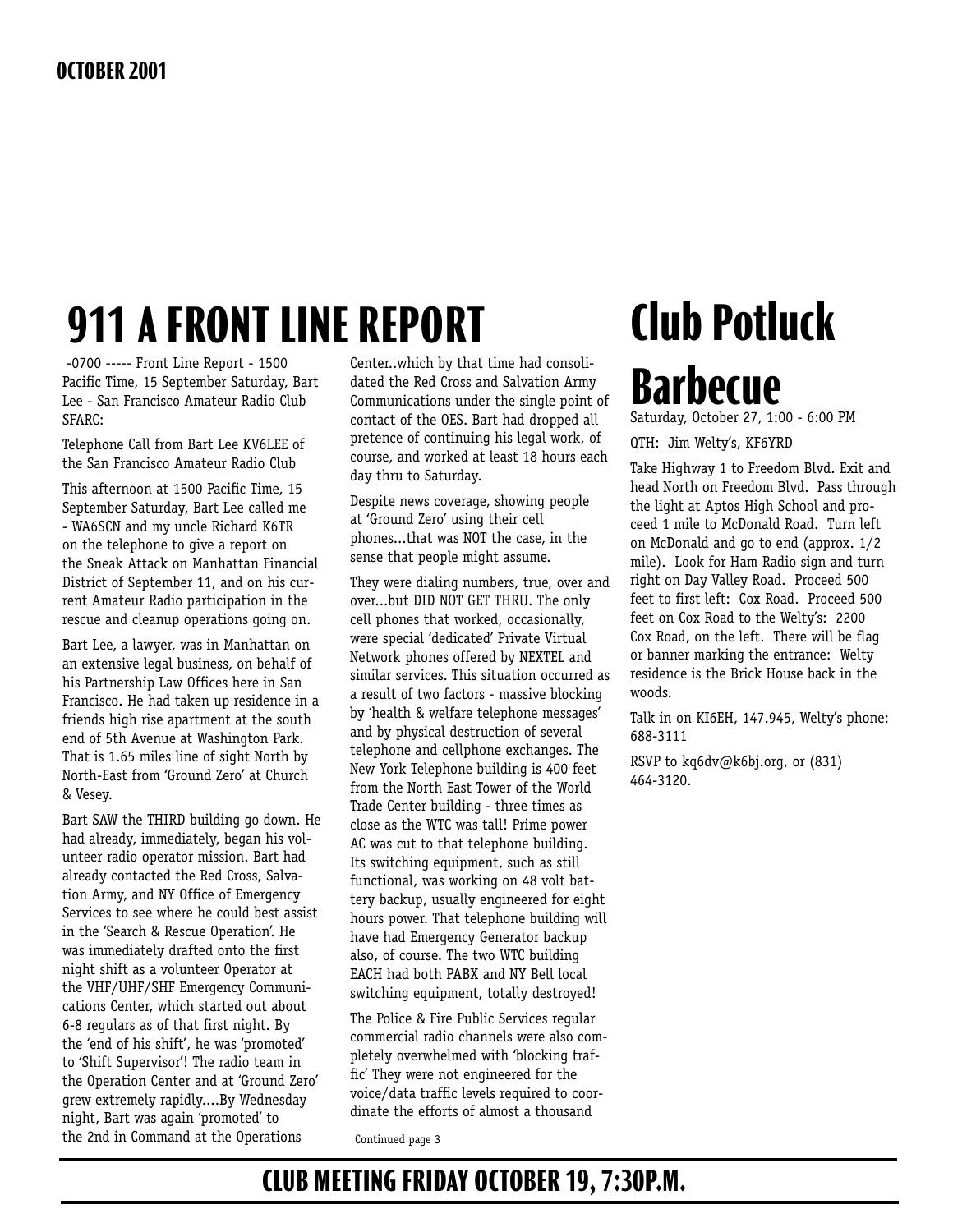# **911 A FRONT LINE REPORT**

 -0700 ----- Front Line Report - 1500 Pacific Time, 15 September Saturday, Bart Lee - San Francisco Amateur Radio Club SFARC:

Telephone Call from Bart Lee KV6LEE of the San Francisco Amateur Radio Club

This afternoon at 1500 Pacific Time, 15 September Saturday, Bart Lee called me - WA6SCN and my uncle Richard K6TR on the telephone to give a report on the Sneak Attack on Manhattan Financial District of September 11, and on his current Amateur Radio participation in the rescue and cleanup operations going on.

Bart Lee, a lawyer, was in Manhattan on an extensive legal business, on behalf of his Partnership Law Offices here in San Francisco. He had taken up residence in a friends high rise apartment at the south end of 5th Avenue at Washington Park. That is 1.65 miles line of sight North by North-East from 'Ground Zero' at Church & Vesey.

Bart SAW the THIRD building go down. He had already, immediately, began his volunteer radio operator mission. Bart had already contacted the Red Cross, Salvation Army, and NY Office of Emergency Services to see where he could best assist in the 'Search & Rescue Operation'. He was immediately drafted onto the first night shift as a volunteer Operator at the VHF/UHF/SHF Emergency Communications Center, which started out about 6-8 regulars as of that first night. By the 'end of his shift', he was 'promoted' to 'Shift Supervisor'! The radio team in the Operation Center and at 'Ground Zero' grew extremely rapidly....By Wednesday night, Bart was again 'promoted' to the 2nd in Command at the Operations

Center..which by that time had consolidated the Red Cross and Salvation Army Communications under the single point of contact of the OES. Bart had dropped all pretence of continuing his legal work, of course, and worked at least 18 hours each day thru to Saturday.

Despite news coverage, showing people at 'Ground Zero' using their cell phones...that was NOT the case, in the sense that people might assume.

They were dialing numbers, true, over and over...but DID NOT GET THRU. The only cell phones that worked, occasionally, were special 'dedicated' Private Virtual Network phones offered by NEXTEL and similar services. This situation occurred as a result of two factors - massive blocking by 'health & welfare telephone messages' and by physical destruction of several telephone and cellphone exchanges. The New York Telephone building is 400 feet from the North East Tower of the World Trade Center building - three times as close as the WTC was tall! Prime power AC was cut to that telephone building. Its switching equipment, such as still functional, was working on 48 volt battery backup, usually engineered for eight hours power. That telephone building will have had Emergency Generator backup also, of course. The two WTC building EACH had both PABX and NY Bell local switching equipment, totally destroyed!

The Police & Fire Public Services regular commercial radio channels were also completely overwhelmed with 'blocking traffic' They were not engineered for the voice/data traffic levels required to coordinate the efforts of almost a thousand

Continued page 3

# **Club Potluck Barbecue**

Saturday, October 27, 1:00 - 6:00 PM

QTH: Jim Welty's, KF6YRD

Take Highway 1 to Freedom Blvd. Exit and head North on Freedom Blvd. Pass through the light at Aptos High School and proceed 1 mile to McDonald Road. Turn left on McDonald and go to end (approx. 1/2 mile). Look for Ham Radio sign and turn right on Day Valley Road. Proceed 500 feet to first left: Cox Road. Proceed 500 feet on Cox Road to the Welty's: 2200 Cox Road, on the left. There will be flag or banner marking the entrance: Welty residence is the Brick House back in the woods.

Talk in on KI6EH, 147.945, Welty's phone: 688-3111

RSVP to kq6dv@k6bj.org, or (831) 464-3120.

## **CLUB MEETING FRIDAY OCTOBER 19, 7:30P.M.**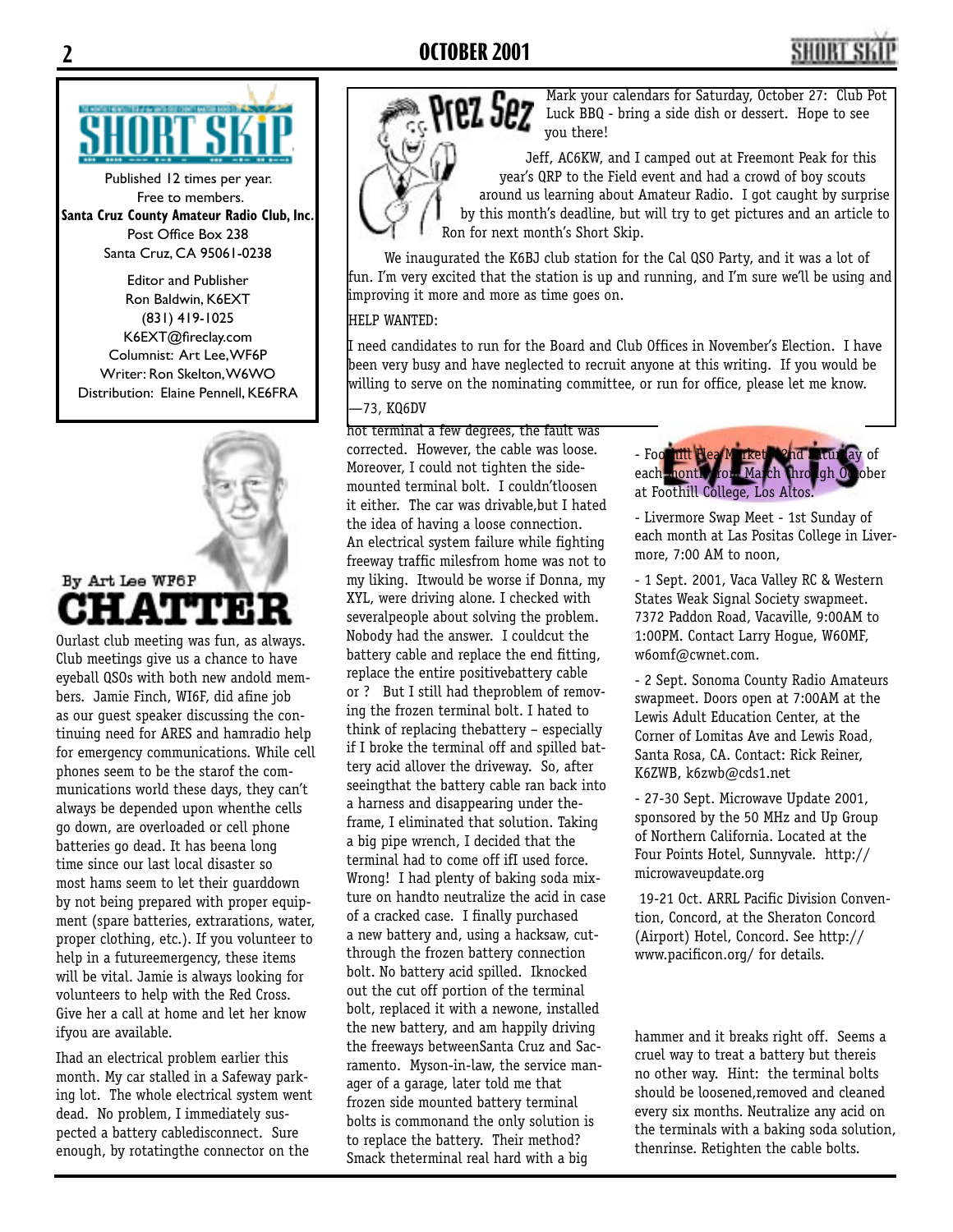## **2 OCTOBER 2001 3**



Published 12 times per year. Free to members. **Santa Cruz County Amateur Radio Club, Inc.** Post Office Box 238 Santa Cruz, CA 95061-0238

Editor and Publisher Ron Baldwin, K6EXT (831) 419-1025 K6EXT@fireclay.com Columnist: Art Lee, WF6P Writer: Ron Skelton, W6WO Distribution: Elaine Pennell, KE6FRA



Ourlast club meeting was fun, as always. Club meetings give us a chance to have eyeball QSOs with both new andold members. Jamie Finch, WI6F, did afine job as our guest speaker discussing the continuing need for ARES and hamradio help for emergency communications. While cell phones seem to be the starof the communications world these days, they can't always be depended upon whenthe cells go down, are overloaded or cell phone batteries go dead. It has beena long time since our last local disaster so most hams seem to let their guarddown by not being prepared with proper equipment (spare batteries, extrarations, water, proper clothing, etc.). If you volunteer to help in a futureemergency, these items will be vital. Jamie is always looking for volunteers to help with the Red Cross. Give her a call at home and let her know ifyou are available.

Ihad an electrical problem earlier this month. My car stalled in a Safeway parking lot. The whole electrical system went dead. No problem, I immediately suspected a battery cabledisconnect. Sure enough, by rotatingthe connector on the



Mark your calendars for Saturday, October 27: Club Pot Luck BBQ - bring a side dish or dessert. Hope to see you there!

Jeff, AC6KW, and I camped out at Freemont Peak for this year's QRP to the Field event and had a crowd of boy scouts around us learning about Amateur Radio. I got caught by surprise by this month's deadline, but will try to get pictures and an article to Ron for next month's Short Skip.

We inaugurated the K6BJ club station for the Cal QSO Party, and it was a lot of fun. I'm very excited that the station is up and running, and I'm sure we'll be using and improving it more and more as time goes on.

### HELP WANTED:

I need candidates to run for the Board and Club Offices in November's Election. I have been very busy and have neglected to recruit anyone at this writing. If you would be willing to serve on the nominating committee, or run for office, please let me know.

### —73, KQ6DV

hot terminal a few degrees, the fault was corrected. However, the cable was loose. Moreover, I could not tighten the sidemounted terminal bolt. I couldn'tloosen it either. The car was drivable,but I hated the idea of having a loose connection. An electrical system failure while fighting freeway traffic milesfrom home was not to my liking. Itwould be worse if Donna, my XYL, were driving alone. I checked with severalpeople about solving the problem. Nobody had the answer. I couldcut the battery cable and replace the end fitting, replace the entire positivebattery cable or ? But I still had theproblem of removing the frozen terminal bolt. I hated to think of replacing thebattery – especially if I broke the terminal off and spilled battery acid allover the driveway. So, after seeingthat the battery cable ran back into a harness and disappearing under theframe, I eliminated that solution. Taking a big pipe wrench, I decided that the terminal had to come off ifI used force. Wrong! I had plenty of baking soda mixture on handto neutralize the acid in case of a cracked case. I finally purchased a new battery and, using a hacksaw, cutthrough the frozen battery connection bolt. No battery acid spilled. Iknocked out the cut off portion of the terminal bolt, replaced it with a newone, installed the new battery, and am happily driving the freeways betweenSanta Cruz and Sacramento. Myson-in-law, the service manager of a garage, later told me that frozen side mounted battery terminal bolts is commonand the only solution is to replace the battery. Their method? Smack theterminal real hard with a big

- Foothill Flea Market 2nd Saturday of each nonth from March through October at Foothill College, Los Altos.

- Livermore Swap Meet - 1st Sunday of each month at Las Positas College in Livermore, 7:00 AM to noon,

- 1 Sept. 2001, Vaca Valley RC & Western States Weak Signal Society swapmeet. 7372 Paddon Road, Vacaville, 9:00AM to 1:00PM. Contact Larry Hogue, W6OMF, w6omf@cwnet.com.

- 2 Sept. Sonoma County Radio Amateurs swapmeet. Doors open at 7:00AM at the Lewis Adult Education Center, at the Corner of Lomitas Ave and Lewis Road, Santa Rosa, CA. Contact: Rick Reiner, K6ZWB, k6zwb@cds1.net

- 27-30 Sept. Microwave Update 2001, sponsored by the 50 MHz and Up Group of Northern California. Located at the Four Points Hotel, Sunnyvale. http:// microwaveupdate.org

 19-21 Oct. ARRL Pacific Division Convention, Concord, at the Sheraton Concord (Airport) Hotel, Concord. See http:// www.pacificon.org/ for details.

hammer and it breaks right off. Seems a cruel way to treat a battery but thereis no other way. Hint: the terminal bolts should be loosened,removed and cleaned every six months. Neutralize any acid on the terminals with a baking soda solution, thenrinse. Retighten the cable bolts.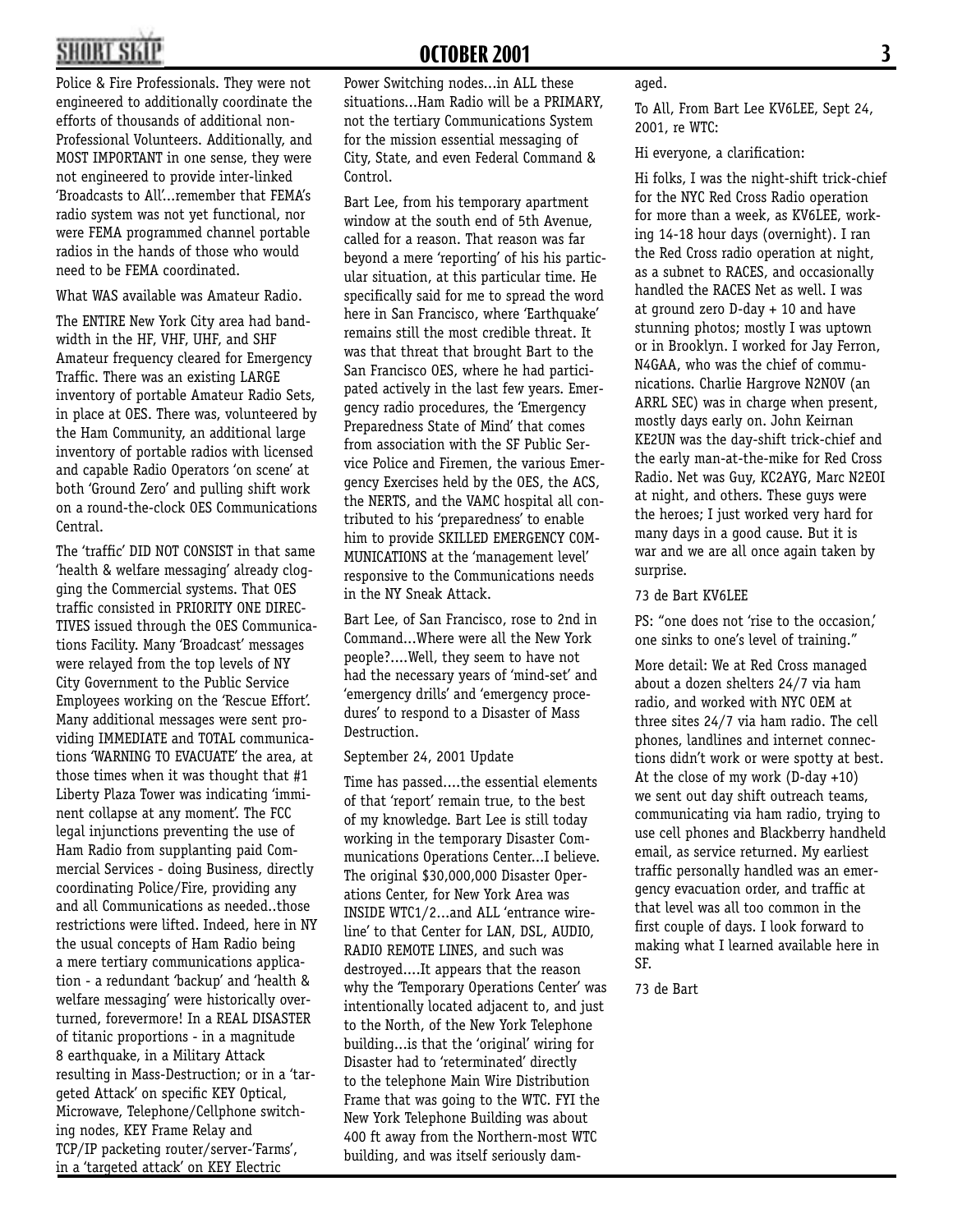## **2 OCTOBER 2001 3**

Police & Fire Professionals. They were not engineered to additionally coordinate the efforts of thousands of additional non-Professional Volunteers. Additionally, and MOST IMPORTANT in one sense, they were not engineered to provide inter-linked 'Broadcasts to All'...remember that FEMA's radio system was not yet functional, nor were FEMA programmed channel portable radios in the hands of those who would need to be FEMA coordinated.

What WAS available was Amateur Radio.

The ENTIRE New York City area had bandwidth in the HF, VHF, UHF, and SHF Amateur frequency cleared for Emergency Traffic. There was an existing LARGE inventory of portable Amateur Radio Sets, in place at OES. There was, volunteered by the Ham Community, an additional large inventory of portable radios with licensed and capable Radio Operators 'on scene' at both 'Ground Zero' and pulling shift work on a round-the-clock OES Communications Central.

The 'traffic' DID NOT CONSIST in that same 'health & welfare messaging' already clogging the Commercial systems. That OES traffic consisted in PRIORITY ONE DIREC-TIVES issued through the OES Communications Facility. Many 'Broadcast' messages were relayed from the top levels of NY City Government to the Public Service Employees working on the 'Rescue Effort'. Many additional messages were sent providing IMMEDIATE and TOTAL communications 'WARNING TO EVACUATE' the area, at those times when it was thought that #1 Liberty Plaza Tower was indicating 'imminent collapse at any moment'. The FCC legal injunctions preventing the use of Ham Radio from supplanting paid Commercial Services - doing Business, directly coordinating Police/Fire, providing any and all Communications as needed..those restrictions were lifted. Indeed, here in NY the usual concepts of Ham Radio being a mere tertiary communications application - a redundant 'backup' and 'health & welfare messaging' were historically overturned, forevermore! In a REAL DISASTER of titanic proportions - in a magnitude 8 earthquake, in a Military Attack resulting in Mass-Destruction; or in a 'targeted Attack' on specific KEY Optical, Microwave, Telephone/Cellphone switching nodes, KEY Frame Relay and TCP/IP packeting router/server-'Farms', in a 'targeted attack' on KEY Electric

Power Switching nodes...in ALL these situations...Ham Radio will be a PRIMARY, not the tertiary Communications System for the mission essential messaging of City, State, and even Federal Command & Control.

Bart Lee, from his temporary apartment window at the south end of 5th Avenue, called for a reason. That reason was far beyond a mere 'reporting' of his his particular situation, at this particular time. He specifically said for me to spread the word here in San Francisco, where 'Earthquake' remains still the most credible threat. It was that threat that brought Bart to the San Francisco OES, where he had participated actively in the last few years. Emergency radio procedures, the 'Emergency Preparedness State of Mind' that comes from association with the SF Public Service Police and Firemen, the various Emergency Exercises held by the OES, the ACS, the NERTS, and the VAMC hospital all contributed to his 'preparedness' to enable him to provide SKILLED EMERGENCY COM-MUNICATIONS at the 'management level' responsive to the Communications needs in the NY Sneak Attack.

Bart Lee, of San Francisco, rose to 2nd in Command...Where were all the New York people?....Well, they seem to have not had the necessary years of 'mind-set' and 'emergency drills' and 'emergency procedures' to respond to a Disaster of Mass Destruction.

September 24, 2001 Update

Time has passed....the essential elements of that 'report' remain true, to the best of my knowledge. Bart Lee is still today working in the temporary Disaster Communications Operations Center...I believe. The original \$30,000,000 Disaster Operations Center, for New York Area was INSIDE WTC1/2...and ALL 'entrance wireline' to that Center for LAN, DSL, AUDIO, RADIO REMOTE LINES, and such was destroyed....It appears that the reason why the 'Temporary Operations Center' was intentionally located adjacent to, and just to the North, of the New York Telephone building...is that the 'original' wiring for Disaster had to 'reterminated' directly to the telephone Main Wire Distribution Frame that was going to the WTC. FYI the New York Telephone Building was about 400 ft away from the Northern-most WTC building, and was itself seriously damaged.

To All, From Bart Lee KV6LEE, Sept 24, 2001, re WTC:

Hi everyone, a clarification:

Hi folks, I was the night-shift trick-chief for the NYC Red Cross Radio operation for more than a week, as KV6LEE, working 14-18 hour days (overnight). I ran the Red Cross radio operation at night, as a subnet to RACES, and occasionally handled the RACES Net as well. I was at ground zero D-day + 10 and have stunning photos; mostly I was uptown or in Brooklyn. I worked for Jay Ferron, N4GAA, who was the chief of communications. Charlie Hargrove N2NOV (an ARRL SEC) was in charge when present, mostly days early on. John Keirnan KE2UN was the day-shift trick-chief and the early man-at-the-mike for Red Cross Radio. Net was Guy, KC2AYG, Marc N2EOI at night, and others. These guys were the heroes; I just worked very hard for many days in a good cause. But it is war and we are all once again taken by surprise.

### 73 de Bart KV6LEE

PS: "one does not 'rise to the occasion,' one sinks to one's level of training."

More detail: We at Red Cross managed about a dozen shelters 24/7 via ham radio, and worked with NYC OEM at three sites 24/7 via ham radio. The cell phones, landlines and internet connections didn't work or were spotty at best. At the close of my work (D-day +10) we sent out day shift outreach teams, communicating via ham radio, trying to use cell phones and Blackberry handheld email, as service returned. My earliest traffic personally handled was an emergency evacuation order, and traffic at that level was all too common in the first couple of days. I look forward to making what I learned available here in SF.

73 de Bart